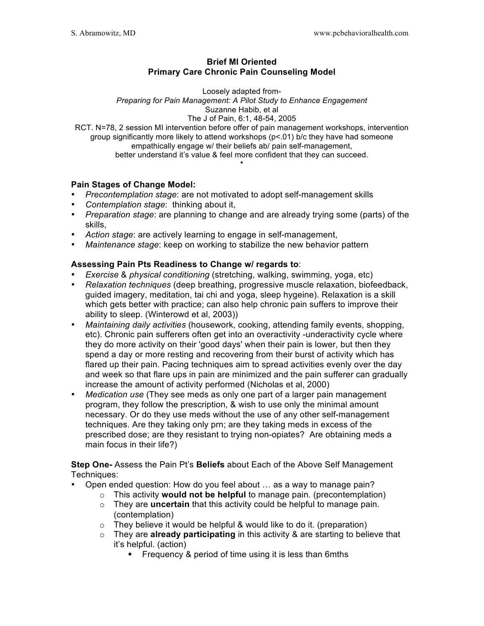### **Brief MI Oriented Primary Care Chronic Pain Counseling Model**

Loosely adapted from-*Preparing for Pain Management: A Pilot Study to Enhance Engagement* Suzanne Habib, et al The J of Pain, 6:1, 48-54, 2005

RCT. N=78, 2 session MI intervention before offer of pain management workshops, intervention group significantly more likely to attend workshops (p<.01) b/c they have had someone empathically engage w/ their beliefs ab/ pain self-management, better understand it's value & feel more confident that they can succeed.

\*

## **Pain Stages of Change Model:**

- *Precontemplation stage*: are not motivated to adopt self-management skills
- *Contemplation stage*: thinking about it,
- *Preparation stage*: are planning to change and are already trying some (parts) of the skills,
- *Action stage*: are actively learning to engage in self-management,
- *Maintenance stage*: keep on working to stabilize the new behavior pattern

# **Assessing Pain Pts Readiness to Change w/ regards to**:

- *Exercise* & *physical conditioning* (stretching, walking, swimming, yoga, etc)
- *Relaxation techniques* (deep breathing, progressive muscle relaxation, biofeedback, guided imagery, meditation, tai chi and yoga, sleep hygeine). Relaxation is a skill which gets better with practice; can also help chronic pain suffers to improve their ability to sleep. (Winterowd et al, 2003))
- *Maintaining daily activities* (housework, cooking, attending family events, shopping, etc). Chronic pain sufferers often get into an overactivity -underactivity cycle where they do more activity on their 'good days' when their pain is lower, but then they spend a day or more resting and recovering from their burst of activity which has flared up their pain. Pacing techniques aim to spread activities evenly over the day and week so that flare ups in pain are minimized and the pain sufferer can gradually increase the amount of activity performed (Nicholas et al, 2000)
- *Medication use* (They see meds as only one part of a larger pain management program, they follow the prescription, & wish to use only the minimal amount necessary. Or do they use meds without the use of any other self-management techniques. Are they taking only prn; are they taking meds in excess of the prescribed dose; are they resistant to trying non-opiates? Are obtaining meds a main focus in their life?)

## **Step One-** Assess the Pain Pt's **Beliefs** about Each of the Above Self Management Techniques:

- Open ended question: How do you feel about … as a way to manage pain?
	- o This activity **would not be helpful** to manage pain. (precontemplation)
	- o They are **uncertain** that this activity could be helpful to manage pain. (contemplation)
	- $\circ$  They believe it would be helpful & would like to do it. (preparation)
	- o They are **already participating** in this activity & are starting to believe that it's helpful. (action)
		- ! Frequency & period of time using it is less than 6mths